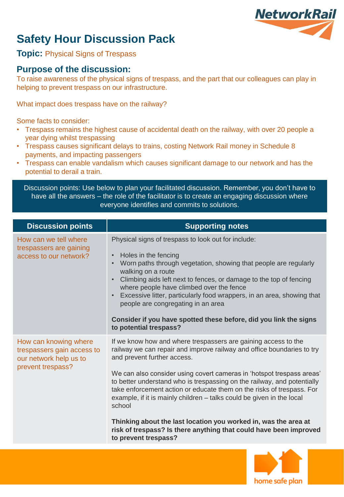

# **Safety Hour Discussion Pack**

**Topic:** Physical Signs of Trespass

### **Purpose of the discussion:**

To raise awareness of the physical signs of trespass, and the part that our colleagues can play in helping to prevent trespass on our infrastructure.

What impact does trespass have on the railway?

Some facts to consider:

- Trespass remains the highest cause of accidental death on the railway, with over 20 people a year dying whilst trespassing
- Trespass causes significant delays to trains, costing Network Rail money in Schedule 8 payments, and impacting passengers
- Trespass can enable vandalism which causes significant damage to our network and has the potential to derail a train.

Discussion points: Use below to plan your facilitated discussion. Remember, you don't have to have all the answers – the role of the facilitator is to create an engaging discussion where everyone identifies and commits to solutions.

| <b>Discussion points</b>                                                                           | <b>Supporting notes</b>                                                                                                                                                                                                                                                                                                                                                                                                                                                                                                                                                                                                                                 |
|----------------------------------------------------------------------------------------------------|---------------------------------------------------------------------------------------------------------------------------------------------------------------------------------------------------------------------------------------------------------------------------------------------------------------------------------------------------------------------------------------------------------------------------------------------------------------------------------------------------------------------------------------------------------------------------------------------------------------------------------------------------------|
| How can we tell where<br>trespassers are gaining<br>access to our network?                         | Physical signs of trespass to look out for include:<br>Holes in the fencing<br>$\bullet$<br>Worn paths through vegetation, showing that people are regularly<br>walking on a route<br>Climbing aids left next to fences, or damage to the top of fencing<br>$\bullet$<br>where people have climbed over the fence<br>Excessive litter, particularly food wrappers, in an area, showing that<br>people are congregating in an area<br>Consider if you have spotted these before, did you link the signs<br>to potential trespass?                                                                                                                        |
| How can knowing where<br>trespassers gain access to<br>our network help us to<br>prevent trespass? | If we know how and where trespassers are gaining access to the<br>railway we can repair and improve railway and office boundaries to try<br>and prevent further access.<br>We can also consider using covert cameras in 'hotspot trespass areas'<br>to better understand who is trespassing on the railway, and potentially<br>take enforcement action or educate them on the risks of trespass. For<br>example, if it is mainly children – talks could be given in the local<br>school<br>Thinking about the last location you worked in, was the area at<br>risk of trespass? Is there anything that could have been improved<br>to prevent trespass? |